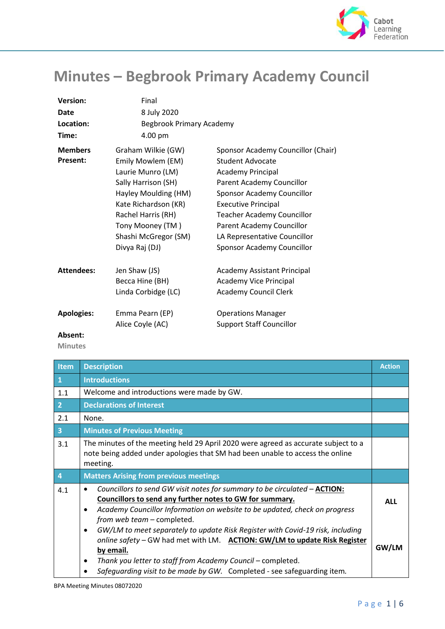

## **Minutes – Begbrook Primary Academy Council**

| <b>Version:</b>   | Final                    |                                    |
|-------------------|--------------------------|------------------------------------|
| Date              | 8 July 2020              |                                    |
| Location:         | Begbrook Primary Academy |                                    |
| Time:             | 4.00 pm                  |                                    |
| <b>Members</b>    | Graham Wilkie (GW)       | Sponsor Academy Councillor (Chair) |
| <b>Present:</b>   | Emily Mowlem (EM)        | Student Advocate                   |
|                   | Laurie Munro (LM)        | <b>Academy Principal</b>           |
|                   | Sally Harrison (SH)      | Parent Academy Councillor          |
|                   | Hayley Moulding (HM)     | Sponsor Academy Councillor         |
|                   | Kate Richardson (KR)     | <b>Executive Principal</b>         |
|                   | Rachel Harris (RH)       | <b>Teacher Academy Councillor</b>  |
|                   | Tony Mooney (TM)         | Parent Academy Councillor          |
|                   | Shashi McGregor (SM)     | LA Representative Councillor       |
|                   | Divya Raj (DJ)           | Sponsor Academy Councillor         |
| <b>Attendees:</b> | Jen Shaw (JS)            | <b>Academy Assistant Principal</b> |
|                   | Becca Hine (BH)          | Academy Vice Principal             |
|                   | Linda Corbidge (LC)      | <b>Academy Council Clerk</b>       |
| <b>Apologies:</b> | Emma Pearn (EP)          | <b>Operations Manager</b>          |
|                   | Alice Coyle (AC)         | <b>Support Staff Councillor</b>    |
| Absent:           |                          |                                    |

 **Minutes**

| <b>Item</b>             | <b>Description</b>                                                                                                                                                                | <b>Action</b> |
|-------------------------|-----------------------------------------------------------------------------------------------------------------------------------------------------------------------------------|---------------|
| $\mathbf{1}$            | <b>Introductions</b>                                                                                                                                                              |               |
| 1.1                     | Welcome and introductions were made by GW.                                                                                                                                        |               |
| $\overline{2}$          | <b>Declarations of Interest</b>                                                                                                                                                   |               |
| 2.1                     | None.                                                                                                                                                                             |               |
| $\overline{\mathbf{3}}$ | <b>Minutes of Previous Meeting</b>                                                                                                                                                |               |
| 3.1                     | The minutes of the meeting held 29 April 2020 were agreed as accurate subject to a<br>note being added under apologies that SM had been unable to access the online<br>meeting.   |               |
| $\overline{4}$          | <b>Matters Arising from previous meetings</b>                                                                                                                                     |               |
| 4.1                     | Councillors to send GW visit notes for summary to be circulated - <b>ACTION</b> :<br>$\bullet$                                                                                    |               |
|                         | Councillors to send any further notes to GW for summary.<br>Academy Councillor Information on website to be updated, check on progress<br>$\bullet$<br>from web team - completed. | <b>ALL</b>    |

BPA Meeting Minutes 08072020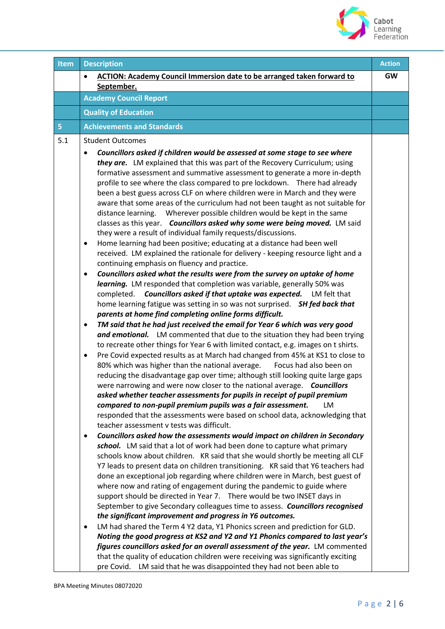

| Item           | <b>Description</b>                                                                                                                                                                                                                                                                                                                                                                                                                                                                                                                                                                                                                                                                                                                                                                                                                                                                                                                                                                                                                                                                                                                                                                                                                                                                                                                                                                                                                                                                                                                                                                                                                                                                                                                                                                                                                                                                                                                                                                                                                                                                                                                                                                                                                                                                                                                                                                                                                                                                                                                                                                                                                                                                                                                                                                                                                                                                                                                                                                                                                                                                                                           | <b>Action</b> |
|----------------|------------------------------------------------------------------------------------------------------------------------------------------------------------------------------------------------------------------------------------------------------------------------------------------------------------------------------------------------------------------------------------------------------------------------------------------------------------------------------------------------------------------------------------------------------------------------------------------------------------------------------------------------------------------------------------------------------------------------------------------------------------------------------------------------------------------------------------------------------------------------------------------------------------------------------------------------------------------------------------------------------------------------------------------------------------------------------------------------------------------------------------------------------------------------------------------------------------------------------------------------------------------------------------------------------------------------------------------------------------------------------------------------------------------------------------------------------------------------------------------------------------------------------------------------------------------------------------------------------------------------------------------------------------------------------------------------------------------------------------------------------------------------------------------------------------------------------------------------------------------------------------------------------------------------------------------------------------------------------------------------------------------------------------------------------------------------------------------------------------------------------------------------------------------------------------------------------------------------------------------------------------------------------------------------------------------------------------------------------------------------------------------------------------------------------------------------------------------------------------------------------------------------------------------------------------------------------------------------------------------------------------------------------------------------------------------------------------------------------------------------------------------------------------------------------------------------------------------------------------------------------------------------------------------------------------------------------------------------------------------------------------------------------------------------------------------------------------------------------------------------------|---------------|
|                | <b>ACTION: Academy Council Immersion date to be arranged taken forward to</b><br>September.                                                                                                                                                                                                                                                                                                                                                                                                                                                                                                                                                                                                                                                                                                                                                                                                                                                                                                                                                                                                                                                                                                                                                                                                                                                                                                                                                                                                                                                                                                                                                                                                                                                                                                                                                                                                                                                                                                                                                                                                                                                                                                                                                                                                                                                                                                                                                                                                                                                                                                                                                                                                                                                                                                                                                                                                                                                                                                                                                                                                                                  | <b>GW</b>     |
|                | <b>Academy Council Report</b>                                                                                                                                                                                                                                                                                                                                                                                                                                                                                                                                                                                                                                                                                                                                                                                                                                                                                                                                                                                                                                                                                                                                                                                                                                                                                                                                                                                                                                                                                                                                                                                                                                                                                                                                                                                                                                                                                                                                                                                                                                                                                                                                                                                                                                                                                                                                                                                                                                                                                                                                                                                                                                                                                                                                                                                                                                                                                                                                                                                                                                                                                                |               |
|                | <b>Quality of Education</b>                                                                                                                                                                                                                                                                                                                                                                                                                                                                                                                                                                                                                                                                                                                                                                                                                                                                                                                                                                                                                                                                                                                                                                                                                                                                                                                                                                                                                                                                                                                                                                                                                                                                                                                                                                                                                                                                                                                                                                                                                                                                                                                                                                                                                                                                                                                                                                                                                                                                                                                                                                                                                                                                                                                                                                                                                                                                                                                                                                                                                                                                                                  |               |
| 5 <sub>1</sub> | <b>Achievements and Standards</b>                                                                                                                                                                                                                                                                                                                                                                                                                                                                                                                                                                                                                                                                                                                                                                                                                                                                                                                                                                                                                                                                                                                                                                                                                                                                                                                                                                                                                                                                                                                                                                                                                                                                                                                                                                                                                                                                                                                                                                                                                                                                                                                                                                                                                                                                                                                                                                                                                                                                                                                                                                                                                                                                                                                                                                                                                                                                                                                                                                                                                                                                                            |               |
| 5.1            | <b>Student Outcomes</b><br>Councillors asked if children would be assessed at some stage to see where<br>they are. LM explained that this was part of the Recovery Curriculum; using<br>formative assessment and summative assessment to generate a more in-depth<br>profile to see where the class compared to pre lockdown.  There had already<br>been a best guess across CLF on where children were in March and they were<br>aware that some areas of the curriculum had not been taught as not suitable for<br>distance learning.  Wherever possible children would be kept in the same<br>classes as this year. Councillors asked why some were being moved. LM said<br>they were a result of individual family requests/discussions.<br>Home learning had been positive; educating at a distance had been well<br>٠<br>received. LM explained the rationale for delivery - keeping resource light and a<br>continuing emphasis on fluency and practice.<br>Councillors asked what the results were from the survey on uptake of home<br>٠<br>learning. LM responded that completion was variable, generally 50% was<br>Councillors asked if that uptake was expected.<br>completed.<br>LM felt that<br>home learning fatigue was setting in so was not surprised. SH fed back that<br>parents at home find completing online forms difficult.<br>TM said that he had just received the email for Year 6 which was very good<br>٠<br>and emotional. LM commented that due to the situation they had been trying<br>to recreate other things for Year 6 with limited contact, e.g. images on t shirts.<br>Pre Covid expected results as at March had changed from 45% at KS1 to close to<br>80% which was higher than the national average.<br>Focus had also been on<br>reducing the disadvantage gap over time; although still looking quite large gaps<br>were narrowing and were now closer to the national average. Councillors<br>asked whether teacher assessments for pupils in receipt of pupil premium<br>compared to non-pupil premium pupils was a fair assessment.<br>LM<br>responded that the assessments were based on school data, acknowledging that<br>teacher assessment y tests was difficult.<br>Councillors asked how the assessments would impact on children in Secondary<br>٠<br>school. LM said that a lot of work had been done to capture what primary<br>schools know about children. KR said that she would shortly be meeting all CLF<br>Y7 leads to present data on children transitioning. KR said that Y6 teachers had<br>done an exceptional job regarding where children were in March, best guest of<br>where now and rating of engagement during the pandemic to guide where<br>support should be directed in Year 7. There would be two INSET days in<br>September to give Secondary colleagues time to assess. Councillors recognised<br>the significant improvement and progress in Y6 outcomes.<br>LM had shared the Term 4 Y2 data, Y1 Phonics screen and prediction for GLD.<br>$\bullet$<br>Noting the good progress at KS2 and Y2 and Y1 Phonics compared to last year's |               |
|                | figures councillors asked for an overall assessment of the year. LM commented<br>that the quality of education children were receiving was significantly exciting<br>pre Covid. LM said that he was disappointed they had not been able to                                                                                                                                                                                                                                                                                                                                                                                                                                                                                                                                                                                                                                                                                                                                                                                                                                                                                                                                                                                                                                                                                                                                                                                                                                                                                                                                                                                                                                                                                                                                                                                                                                                                                                                                                                                                                                                                                                                                                                                                                                                                                                                                                                                                                                                                                                                                                                                                                                                                                                                                                                                                                                                                                                                                                                                                                                                                                   |               |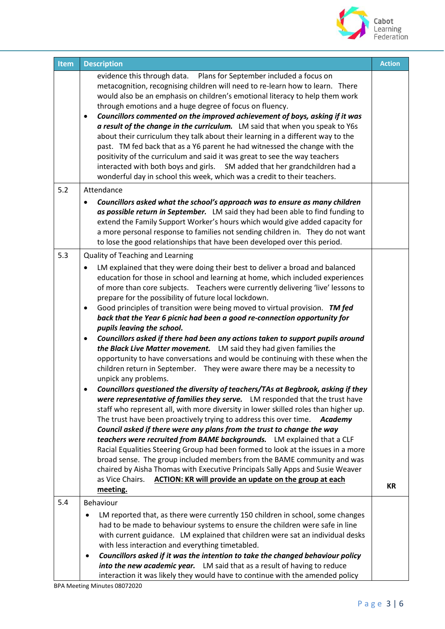

| <b>Item</b> | <b>Description</b>                                                                                                                                                                                                                                                                                                                                                                                                                                                                                                                                                                                                                                                                                                                                                                                                                                                                                                                                                                                                                                                                                                                                                                                                                                                                                                                                                                                                                                                                                                                                                                                                                                                                                                            | <b>Action</b> |
|-------------|-------------------------------------------------------------------------------------------------------------------------------------------------------------------------------------------------------------------------------------------------------------------------------------------------------------------------------------------------------------------------------------------------------------------------------------------------------------------------------------------------------------------------------------------------------------------------------------------------------------------------------------------------------------------------------------------------------------------------------------------------------------------------------------------------------------------------------------------------------------------------------------------------------------------------------------------------------------------------------------------------------------------------------------------------------------------------------------------------------------------------------------------------------------------------------------------------------------------------------------------------------------------------------------------------------------------------------------------------------------------------------------------------------------------------------------------------------------------------------------------------------------------------------------------------------------------------------------------------------------------------------------------------------------------------------------------------------------------------------|---------------|
|             | evidence this through data.  Plans for September included a focus on<br>metacognition, recognising children will need to re-learn how to learn. There<br>would also be an emphasis on children's emotional literacy to help them work<br>through emotions and a huge degree of focus on fluency.<br>Councillors commented on the improved achievement of boys, asking if it was<br>$\bullet$<br>a result of the change in the curriculum. LM said that when you speak to Y6s<br>about their curriculum they talk about their learning in a different way to the<br>past. TM fed back that as a Y6 parent he had witnessed the change with the<br>positivity of the curriculum and said it was great to see the way teachers<br>interacted with both boys and girls. SM added that her grandchildren had a<br>wonderful day in school this week, which was a credit to their teachers.                                                                                                                                                                                                                                                                                                                                                                                                                                                                                                                                                                                                                                                                                                                                                                                                                                         |               |
| 5.2         | Attendance                                                                                                                                                                                                                                                                                                                                                                                                                                                                                                                                                                                                                                                                                                                                                                                                                                                                                                                                                                                                                                                                                                                                                                                                                                                                                                                                                                                                                                                                                                                                                                                                                                                                                                                    |               |
|             | Councillors asked what the school's approach was to ensure as many children<br>as possible return in September. LM said they had been able to find funding to<br>extend the Family Support Worker's hours which would give added capacity for<br>a more personal response to families not sending children in. They do not want<br>to lose the good relationships that have been developed over this period.                                                                                                                                                                                                                                                                                                                                                                                                                                                                                                                                                                                                                                                                                                                                                                                                                                                                                                                                                                                                                                                                                                                                                                                                                                                                                                                  |               |
| 5.3         | Quality of Teaching and Learning                                                                                                                                                                                                                                                                                                                                                                                                                                                                                                                                                                                                                                                                                                                                                                                                                                                                                                                                                                                                                                                                                                                                                                                                                                                                                                                                                                                                                                                                                                                                                                                                                                                                                              |               |
|             | LM explained that they were doing their best to deliver a broad and balanced<br>education for those in school and learning at home, which included experiences<br>of more than core subjects. Teachers were currently delivering 'live' lessons to<br>prepare for the possibility of future local lockdown.<br>Good principles of transition were being moved to virtual provision. TM fed<br>$\bullet$<br>back that the Year 6 picnic had been a good re-connection opportunity for<br>pupils leaving the school.<br>Councillors asked if there had been any actions taken to support pupils around<br>$\bullet$<br>the Black Live Matter movement. LM said they had given families the<br>opportunity to have conversations and would be continuing with these when the<br>children return in September. They were aware there may be a necessity to<br>unpick any problems.<br>Councillors questioned the diversity of teachers/TAs at Begbrook, asking if they<br>were representative of families they serve. LM responded that the trust have<br>staff who represent all, with more diversity in lower skilled roles than higher up.<br>The trust have been proactively trying to address this over time.<br>Academy<br>Council asked if there were any plans from the trust to change the way<br>teachers were recruited from BAME backgrounds. LM explained that a CLF<br>Racial Equalities Steering Group had been formed to look at the issues in a more<br>broad sense. The group included members from the BAME community and was<br>chaired by Aisha Thomas with Executive Principals Sally Apps and Susie Weaver<br><b>ACTION: KR will provide an update on the group at each</b><br>as Vice Chairs.<br>meeting. | <b>KR</b>     |
| 5.4         | Behaviour                                                                                                                                                                                                                                                                                                                                                                                                                                                                                                                                                                                                                                                                                                                                                                                                                                                                                                                                                                                                                                                                                                                                                                                                                                                                                                                                                                                                                                                                                                                                                                                                                                                                                                                     |               |
|             | LM reported that, as there were currently 150 children in school, some changes<br>had to be made to behaviour systems to ensure the children were safe in line<br>with current guidance. LM explained that children were sat an individual desks<br>with less interaction and everything timetabled.<br>Councillors asked if it was the intention to take the changed behaviour policy<br>into the new academic year. LM said that as a result of having to reduce<br>interaction it was likely they would have to continue with the amended policy                                                                                                                                                                                                                                                                                                                                                                                                                                                                                                                                                                                                                                                                                                                                                                                                                                                                                                                                                                                                                                                                                                                                                                           |               |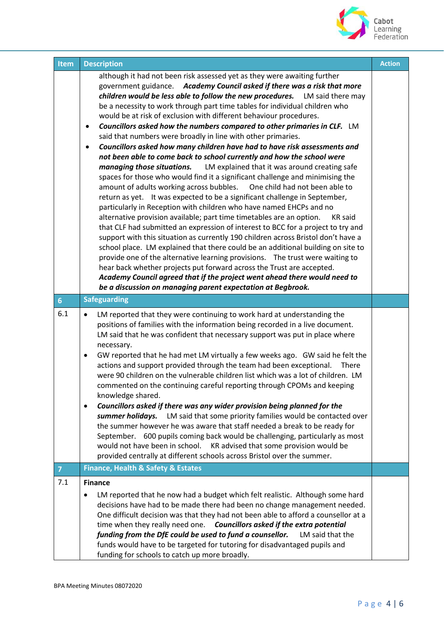

| <b>Item</b>    | <b>Description</b>                                                                                                                                                                                                                                                                                                                                                                                                                                                                                                                                                                                                                                                                                                                                                                                                                                                                                                                                                                                                                                                                                                                                                                                                                                                                                                                                                                                                                                                                                                                                                                                                                                                                                                                                             | <b>Action</b> |
|----------------|----------------------------------------------------------------------------------------------------------------------------------------------------------------------------------------------------------------------------------------------------------------------------------------------------------------------------------------------------------------------------------------------------------------------------------------------------------------------------------------------------------------------------------------------------------------------------------------------------------------------------------------------------------------------------------------------------------------------------------------------------------------------------------------------------------------------------------------------------------------------------------------------------------------------------------------------------------------------------------------------------------------------------------------------------------------------------------------------------------------------------------------------------------------------------------------------------------------------------------------------------------------------------------------------------------------------------------------------------------------------------------------------------------------------------------------------------------------------------------------------------------------------------------------------------------------------------------------------------------------------------------------------------------------------------------------------------------------------------------------------------------------|---------------|
|                | although it had not been risk assessed yet as they were awaiting further<br>government guidance. Academy Council asked if there was a risk that more<br>children would be less able to follow the new procedures. LM said there may<br>be a necessity to work through part time tables for individual children who<br>would be at risk of exclusion with different behaviour procedures.<br>Councillors asked how the numbers compared to other primaries in CLF. LM<br>said that numbers were broadly in line with other primaries.<br>Councillors asked how many children have had to have risk assessments and<br>٠<br>not been able to come back to school currently and how the school were<br>managing those situations. LM explained that it was around creating safe<br>spaces for those who would find it a significant challenge and minimising the<br>One child had not been able to<br>amount of adults working across bubbles.<br>return as yet. It was expected to be a significant challenge in September,<br>particularly in Reception with children who have named EHCPs and no<br>alternative provision available; part time timetables are an option.<br><b>KR</b> said<br>that CLF had submitted an expression of interest to BCC for a project to try and<br>support with this situation as currently 190 children across Bristol don't have a<br>school place. LM explained that there could be an additional building on site to<br>provide one of the alternative learning provisions.  The trust were waiting to<br>hear back whether projects put forward across the Trust are accepted.<br>Academy Council agreed that if the project went ahead there would need to<br>be a discussion on managing parent expectation at Begbrook. |               |
| 6 <sup>1</sup> | <b>Safeguarding</b>                                                                                                                                                                                                                                                                                                                                                                                                                                                                                                                                                                                                                                                                                                                                                                                                                                                                                                                                                                                                                                                                                                                                                                                                                                                                                                                                                                                                                                                                                                                                                                                                                                                                                                                                            |               |
| 6.1            | LM reported that they were continuing to work hard at understanding the<br>$\bullet$<br>positions of families with the information being recorded in a live document.<br>LM said that he was confident that necessary support was put in place where<br>necessary.<br>GW reported that he had met LM virtually a few weeks ago. GW said he felt the<br>actions and support provided through the team had been exceptional.<br><b>There</b><br>were 90 children on the vulnerable children list which was a lot of children. LM<br>commented on the continuing careful reporting through CPOMs and keeping<br>knowledge shared.<br>Councillors asked if there was any wider provision being planned for the<br>$\bullet$<br>summer holidays.<br>LM said that some priority families would be contacted over<br>the summer however he was aware that staff needed a break to be ready for<br>September. 600 pupils coming back would be challenging, particularly as most<br>would not have been in school.<br>KR advised that some provision would be<br>provided centrally at different schools across Bristol over the summer.                                                                                                                                                                                                                                                                                                                                                                                                                                                                                                                                                                                                                                |               |
| $\mathbf{7}$   | <b>Finance, Health &amp; Safety &amp; Estates</b>                                                                                                                                                                                                                                                                                                                                                                                                                                                                                                                                                                                                                                                                                                                                                                                                                                                                                                                                                                                                                                                                                                                                                                                                                                                                                                                                                                                                                                                                                                                                                                                                                                                                                                              |               |
| 7.1            | <b>Finance</b><br>LM reported that he now had a budget which felt realistic. Although some hard<br>decisions have had to be made there had been no change management needed.<br>One difficult decision was that they had not been able to afford a counsellor at a<br>time when they really need one. Councillors asked if the extra potential<br>funding from the DfE could be used to fund a counsellor.<br>LM said that the<br>funds would have to be targeted for tutoring for disadvantaged pupils and<br>funding for schools to catch up more broadly.                                                                                                                                                                                                                                                                                                                                                                                                                                                                                                                                                                                                                                                                                                                                                                                                                                                                                                                                                                                                                                                                                                                                                                                                   |               |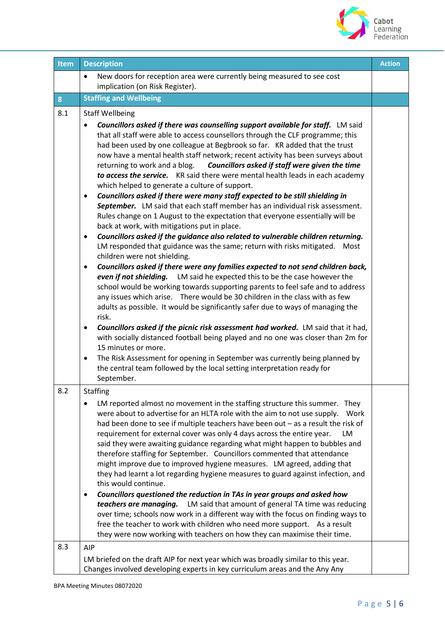

| <b>Item</b> | <b>Description</b>                                                                                                                                                                                                                                                                                                                                                                                                                                                                                                                                                                                                                                                                                                                                                                                                                                                                                                                                                                                                                                                                                                                                                                                                                                                                                                                                                                                                                                                                                                                                                                                                                                                                                                                       | <b>Action</b> |
|-------------|------------------------------------------------------------------------------------------------------------------------------------------------------------------------------------------------------------------------------------------------------------------------------------------------------------------------------------------------------------------------------------------------------------------------------------------------------------------------------------------------------------------------------------------------------------------------------------------------------------------------------------------------------------------------------------------------------------------------------------------------------------------------------------------------------------------------------------------------------------------------------------------------------------------------------------------------------------------------------------------------------------------------------------------------------------------------------------------------------------------------------------------------------------------------------------------------------------------------------------------------------------------------------------------------------------------------------------------------------------------------------------------------------------------------------------------------------------------------------------------------------------------------------------------------------------------------------------------------------------------------------------------------------------------------------------------------------------------------------------------|---------------|
|             | New doors for reception area were currently being measured to see cost<br>٠                                                                                                                                                                                                                                                                                                                                                                                                                                                                                                                                                                                                                                                                                                                                                                                                                                                                                                                                                                                                                                                                                                                                                                                                                                                                                                                                                                                                                                                                                                                                                                                                                                                              |               |
|             | implication (on Risk Register).                                                                                                                                                                                                                                                                                                                                                                                                                                                                                                                                                                                                                                                                                                                                                                                                                                                                                                                                                                                                                                                                                                                                                                                                                                                                                                                                                                                                                                                                                                                                                                                                                                                                                                          |               |
| 8           | <b>Staffing and Wellbeing</b>                                                                                                                                                                                                                                                                                                                                                                                                                                                                                                                                                                                                                                                                                                                                                                                                                                                                                                                                                                                                                                                                                                                                                                                                                                                                                                                                                                                                                                                                                                                                                                                                                                                                                                            |               |
| 8.1         | <b>Staff Wellbeing</b>                                                                                                                                                                                                                                                                                                                                                                                                                                                                                                                                                                                                                                                                                                                                                                                                                                                                                                                                                                                                                                                                                                                                                                                                                                                                                                                                                                                                                                                                                                                                                                                                                                                                                                                   |               |
|             | <b>Councillors asked if there was counselling support available for staff.</b> LM said<br>that all staff were able to access counsellors through the CLF programme; this<br>had been used by one colleague at Begbrook so far. KR added that the trust<br>now have a mental health staff network; recent activity has been surveys about<br>returning to work and a blog. Councillors asked if staff were given the time<br>to access the service. KR said there were mental health leads in each academy<br>which helped to generate a culture of support.<br>Councillors asked if there were many staff expected to be still shielding in<br>$\bullet$<br>September. LM said that each staff member has an individual risk assessment.<br>Rules change on 1 August to the expectation that everyone essentially will be<br>back at work, with mitigations put in place.<br>Councillors asked if the guidance also related to vulnerable children returning.<br>$\bullet$<br>LM responded that guidance was the same; return with risks mitigated.  Most<br>children were not shielding.<br>Councillors asked if there were any families expected to not send children back,<br>$\bullet$<br>even if not shielding. LM said he expected this to be the case however the<br>school would be working towards supporting parents to feel safe and to address<br>any issues which arise. There would be 30 children in the class with as few<br>adults as possible. It would be significantly safer due to ways of managing the<br>risk.<br>Councillors asked if the picnic risk assessment had worked. LM said that it had,<br>٠<br>with socially distanced football being played and no one was closer than 2m for<br>15 minutes or more. |               |
|             | The Risk Assessment for opening in September was currently being planned by<br>٠<br>the central team followed by the local setting interpretation ready for<br>September.                                                                                                                                                                                                                                                                                                                                                                                                                                                                                                                                                                                                                                                                                                                                                                                                                                                                                                                                                                                                                                                                                                                                                                                                                                                                                                                                                                                                                                                                                                                                                                |               |
| 8.2         | <b>Staffing</b>                                                                                                                                                                                                                                                                                                                                                                                                                                                                                                                                                                                                                                                                                                                                                                                                                                                                                                                                                                                                                                                                                                                                                                                                                                                                                                                                                                                                                                                                                                                                                                                                                                                                                                                          |               |
|             | LM reported almost no movement in the staffing structure this summer. They<br>were about to advertise for an HLTA role with the aim to not use supply.<br>Work<br>had been done to see if multiple teachers have been out - as a result the risk of<br>requirement for external cover was only 4 days across the entire year.<br>LM<br>said they were awaiting guidance regarding what might happen to bubbles and<br>therefore staffing for September. Councillors commented that attendance<br>might improve due to improved hygiene measures. LM agreed, adding that<br>they had learnt a lot regarding hygiene measures to guard against infection, and<br>this would continue.<br>Councillors questioned the reduction in TAs in year groups and asked how<br>٠<br>LM said that amount of general TA time was reducing<br>teachers are managing.<br>over time; schools now work in a different way with the focus on finding ways to<br>free the teacher to work with children who need more support. As a result<br>they were now working with teachers on how they can maximise their time.                                                                                                                                                                                                                                                                                                                                                                                                                                                                                                                                                                                                                                       |               |
| 8.3         | AIP<br>LM briefed on the draft AIP for next year which was broadly similar to this year.<br>Changes involved developing experts in key curriculum areas and the Any Any                                                                                                                                                                                                                                                                                                                                                                                                                                                                                                                                                                                                                                                                                                                                                                                                                                                                                                                                                                                                                                                                                                                                                                                                                                                                                                                                                                                                                                                                                                                                                                  |               |